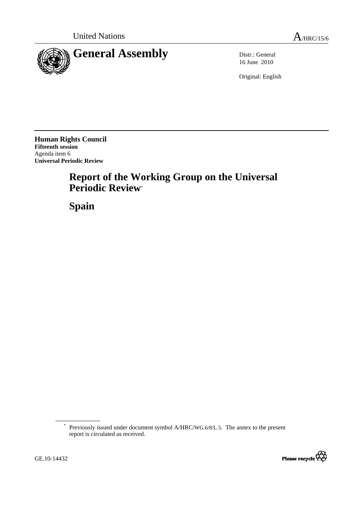

16 June 2010

Original: English

**Human Rights Council Fifteenth session**  Agenda item 6 **Universal Periodic Review** 

# **Report of the Working Group on the Universal Periodic Review**\*

 **Spain** 

<sup>\*</sup> Previously issued under document symbol A/HRC/WG.6/8/L.5. The annex to the present report is circulated as received.

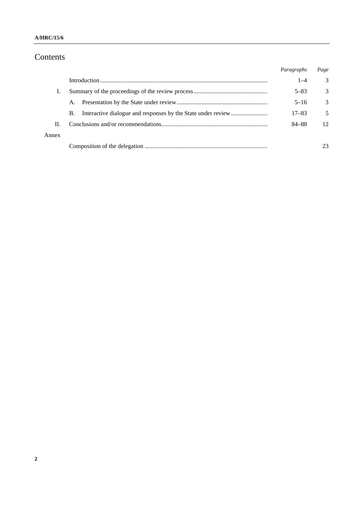#### **A/HRC/15/6**

# Contents

|       |    | Paragraphs | Page |
|-------|----|------------|------|
|       |    | $1 - 4$    | 3    |
|       |    | $5 - 83$   | 3    |
|       | А. | $5 - 16$   | 3    |
|       | B. | $17 - 83$  | 5    |
| П.    |    | 84-88      | 12   |
| Annex |    |            |      |
|       |    |            |      |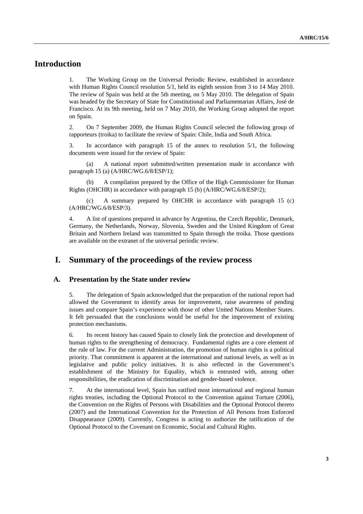# **Introduction**

1. The Working Group on the Universal Periodic Review, established in accordance with Human Rights Council resolution 5/1, held its eighth session from 3 to 14 May 2010. The review of Spain was held at the 5th meeting, on 5 May 2010. The delegation of Spain was headed by the Secretary of State for Constitutional and Parliamentarian Affairs, José de Francisco. At its 9th meeting, held on 7 May 2010, the Working Group adopted the report on Spain.

2. On 7 September 2009, the Human Rights Council selected the following group of rapporteurs (troika) to facilitate the review of Spain: Chile, India and South Africa.

3. In accordance with paragraph 15 of the annex to resolution 5/1, the following documents were issued for the review of Spain:

 (a) A national report submitted/written presentation made in accordance with paragraph 15 (a) (A/HRC/WG.6/8/ESP/1);

 (b) A compilation prepared by the Office of the High Commissioner for Human Rights (OHCHR) in accordance with paragraph 15 (b) (A/HRC/WG.6/8/ESP/2);

 (c) A summary prepared by OHCHR in accordance with paragraph 15 (c) (A/HRC/WG.6/8/ESP/3).

4. A list of questions prepared in advance by Argentina, the Czech Republic, Denmark, Germany, the Netherlands, Norway, Slovenia, Sweden and the United Kingdom of Great Britain and Northern Ireland was transmitted to Spain through the troika. Those questions are available on the extranet of the universal periodic review.

# **I. Summary of the proceedings of the review process**

#### **A. Presentation by the State under review**

5. The delegation of Spain acknowledged that the preparation of the national report had allowed the Government to identify areas for improvement, raise awareness of pending issues and compare Spain's experience with those of other United Nations Member States. It felt persuaded that the conclusions would be useful for the improvement of existing protection mechanisms.

6. Its recent history has caused Spain to closely link the protection and development of human rights to the strengthening of democracy. Fundamental rights are a core element of the rule of law. For the current Administration, the promotion of human rights is a political priority. That commitment is apparent at the international and national levels, as well as in legislative and public policy initiatives. It is also reflected in the Government's establishment of the Ministry for Equality, which is entrusted with, among other responsibilities, the eradication of discrimination and gender-based violence.

7. At the international level, Spain has ratified most international and regional human rights treaties, including the Optional Protocol to the Convention against Torture (2006), the Convention on the Rights of Persons with Disabilities and the Optional Protocol thereto (2007) and the International Convention for the Protection of All Persons from Enforced Disappearance (2009). Currently, Congress is acting to authorize the ratification of the Optional Protocol to the Covenant on Economic, Social and Cultural Rights.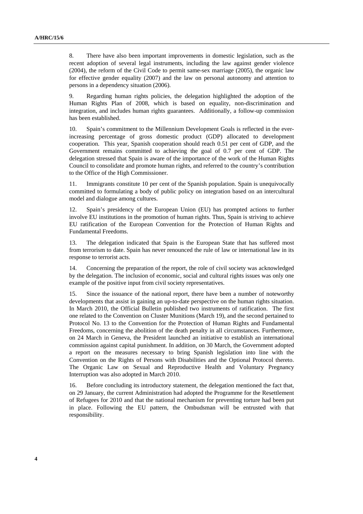8. There have also been important improvements in domestic legislation, such as the recent adoption of several legal instruments, including the law against gender violence (2004), the reform of the Civil Code to permit same-sex marriage (2005), the organic law for effective gender equality (2007) and the law on personal autonomy and attention to persons in a dependency situation (2006).

9. Regarding human rights policies, the delegation highlighted the adoption of the Human Rights Plan of 2008, which is based on equality, non-discrimination and integration, and includes human rights guarantees. Additionally, a follow-up commission has been established.

10. Spain's commitment to the Millennium Development Goals is reflected in the everincreasing percentage of gross domestic product (GDP) allocated to development cooperation. This year, Spanish cooperation should reach 0.51 per cent of GDP, and the Government remains committed to achieving the goal of 0.7 per cent of GDP. The delegation stressed that Spain is aware of the importance of the work of the Human Rights Council to consolidate and promote human rights, and referred to the country's contribution to the Office of the High Commissioner.

11. Immigrants constitute 10 per cent of the Spanish population. Spain is unequivocally committed to formulating a body of public policy on integration based on an intercultural model and dialogue among cultures.

12. Spain's presidency of the European Union (EU) has prompted actions to further involve EU institutions in the promotion of human rights. Thus, Spain is striving to achieve EU ratification of the European Convention for the Protection of Human Rights and Fundamental Freedoms.

13. The delegation indicated that Spain is the European State that has suffered most from terrorism to date. Spain has never renounced the rule of law or international law in its response to terrorist acts.

14. Concerning the preparation of the report, the role of civil society was acknowledged by the delegation. The inclusion of economic, social and cultural rights issues was only one example of the positive input from civil society representatives.

15. Since the issuance of the national report, there have been a number of noteworthy developments that assist in gaining an up-to-date perspective on the human rights situation. In March 2010, the Official Bulletin published two instruments of ratification. The first one related to the Convention on Cluster Munitions (March 19), and the second pertained to Protocol No. 13 to the Convention for the Protection of Human Rights and Fundamental Freedoms, concerning the abolition of the death penalty in all circumstances. Furthermore, on 24 March in Geneva, the President launched an initiative to establish an international commission against capital punishment. In addition, on 30 March, the Government adopted a report on the measures necessary to bring Spanish legislation into line with the Convention on the Rights of Persons with Disabilities and the Optional Protocol thereto. The Organic Law on Sexual and Reproductive Health and Voluntary Pregnancy Interruption was also adopted in March 2010.

16. Before concluding its introductory statement, the delegation mentioned the fact that, on 29 January, the current Administration had adopted the Programme for the Resettlement of Refugees for 2010 and that the national mechanism for preventing torture had been put in place. Following the EU pattern, the Ombudsman will be entrusted with that responsibility.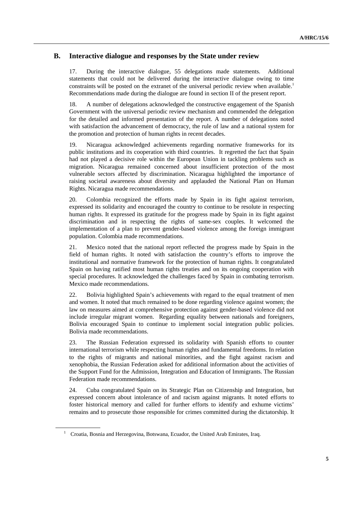### **B. Interactive dialogue and responses by the State under review**

17. During the interactive dialogue, 55 delegations made statements. Additional statements that could not be delivered during the interactive dialogue owing to time constraints will be posted on the extranet of the universal periodic review when available.<sup>1</sup> Recommendations made during the dialogue are found in section II of the present report.

18. A number of delegations acknowledged the constructive engagement of the Spanish Government with the universal periodic review mechanism and commended the delegation for the detailed and informed presentation of the report. A number of delegations noted with satisfaction the advancement of democracy, the rule of law and a national system for the promotion and protection of human rights in recent decades.

19. Nicaragua acknowledged achievements regarding normative frameworks for its public institutions and its cooperation with third countries. It regretted the fact that Spain had not played a decisive role within the European Union in tackling problems such as migration. Nicaragua remained concerned about insufficient protection of the most vulnerable sectors affected by discrimination. Nicaragua highlighted the importance of raising societal awareness about diversity and applauded the National Plan on Human Rights. Nicaragua made recommendations.

20. Colombia recognized the efforts made by Spain in its fight against terrorism, expressed its solidarity and encouraged the country to continue to be resolute in respecting human rights. It expressed its gratitude for the progress made by Spain in its fight against discrimination and in respecting the rights of same-sex couples. It welcomed the implementation of a plan to prevent gender-based violence among the foreign immigrant population. Colombia made recommendations.

21. Mexico noted that the national report reflected the progress made by Spain in the field of human rights. It noted with satisfaction the country's efforts to improve the institutional and normative framework for the protection of human rights. It congratulated Spain on having ratified most human rights treaties and on its ongoing cooperation with special procedures. It acknowledged the challenges faced by Spain in combating terrorism. Mexico made recommendations.

22. Bolivia highlighted Spain's achievements with regard to the equal treatment of men and women. It noted that much remained to be done regarding violence against women; the law on measures aimed at comprehensive protection against gender-based violence did not include irregular migrant women. Regarding equality between nationals and foreigners, Bolivia encouraged Spain to continue to implement social integration public policies. Bolivia made recommendations.

23. The Russian Federation expressed its solidarity with Spanish efforts to counter international terrorism while respecting human rights and fundamental freedoms. In relation to the rights of migrants and national minorities, and the fight against racism and xenophobia, the Russian Federation asked for additional information about the activities of the Support Fund for the Admission, Integration and Education of Immigrants. The Russian Federation made recommendations.

24. Cuba congratulated Spain on its Strategic Plan on Citizenship and Integration, but expressed concern about intolerance of and racism against migrants. It noted efforts to foster historical memory and called for further efforts to identify and exhume victims' remains and to prosecute those responsible for crimes committed during the dictatorship. It

<sup>&</sup>lt;sup>1</sup> Croatia, Bosnia and Herzegovina, Botswana, Ecuador, the United Arab Emirates, Iraq.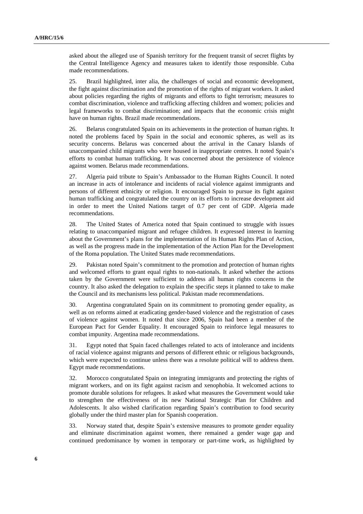asked about the alleged use of Spanish territory for the frequent transit of secret flights by the Central Intelligence Agency and measures taken to identify those responsible. Cuba made recommendations.

25. Brazil highlighted, inter alia, the challenges of social and economic development, the fight against discrimination and the promotion of the rights of migrant workers. It asked about policies regarding the rights of migrants and efforts to fight terrorism; measures to combat discrimination, violence and trafficking affecting children and women; policies and legal frameworks to combat discrimination; and impacts that the economic crisis might have on human rights. Brazil made recommendations.

26. Belarus congratulated Spain on its achievements in the protection of human rights. It noted the problems faced by Spain in the social and economic spheres, as well as its security concerns. Belarus was concerned about the arrival in the Canary Islands of unaccompanied child migrants who were housed in inappropriate centres. It noted Spain's efforts to combat human trafficking. It was concerned about the persistence of violence against women. Belarus made recommendations.

27. Algeria paid tribute to Spain's Ambassador to the Human Rights Council. It noted an increase in acts of intolerance and incidents of racial violence against immigrants and persons of different ethnicity or religion. It encouraged Spain to pursue its fight against human trafficking and congratulated the country on its efforts to increase development aid in order to meet the United Nations target of 0.7 per cent of GDP. Algeria made recommendations.

28. The United States of America noted that Spain continued to struggle with issues relating to unaccompanied migrant and refugee children. It expressed interest in learning about the Government's plans for the implementation of its Human Rights Plan of Action, as well as the progress made in the implementation of the Action Plan for the Development of the Roma population. The United States made recommendations.

29. Pakistan noted Spain's commitment to the promotion and protection of human rights and welcomed efforts to grant equal rights to non-nationals. It asked whether the actions taken by the Government were sufficient to address all human rights concerns in the country. It also asked the delegation to explain the specific steps it planned to take to make the Council and its mechanisms less political. Pakistan made recommendations.

30. Argentina congratulated Spain on its commitment to promoting gender equality, as well as on reforms aimed at eradicating gender-based violence and the registration of cases of violence against women. It noted that since 2006, Spain had been a member of the European Pact for Gender Equality. It encouraged Spain to reinforce legal measures to combat impunity. Argentina made recommendations.

31. Egypt noted that Spain faced challenges related to acts of intolerance and incidents of racial violence against migrants and persons of different ethnic or religious backgrounds, which were expected to continue unless there was a resolute political will to address them. Egypt made recommendations.

32. Morocco congratulated Spain on integrating immigrants and protecting the rights of migrant workers, and on its fight against racism and xenophobia. It welcomed actions to promote durable solutions for refugees. It asked what measures the Government would take to strengthen the effectiveness of its new National Strategic Plan for Children and Adolescents. It also wished clarification regarding Spain's contribution to food security globally under the third master plan for Spanish cooperation.

33. Norway stated that, despite Spain's extensive measures to promote gender equality and eliminate discrimination against women, there remained a gender wage gap and continued predominance by women in temporary or part-time work, as highlighted by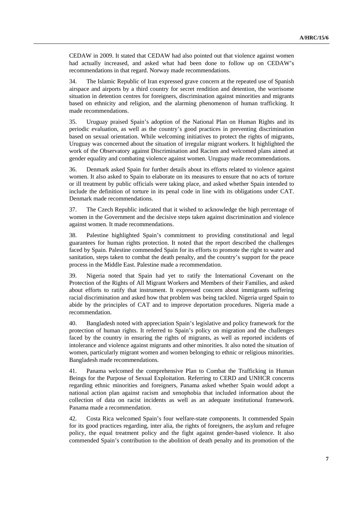CEDAW in 2009. It stated that CEDAW had also pointed out that violence against women had actually increased, and asked what had been done to follow up on CEDAW's recommendations in that regard. Norway made recommendations.

34. The Islamic Republic of Iran expressed grave concern at the repeated use of Spanish airspace and airports by a third country for secret rendition and detention, the worrisome situation in detention centres for foreigners, discrimination against minorities and migrants based on ethnicity and religion, and the alarming phenomenon of human trafficking. It made recommendations.

35. Uruguay praised Spain's adoption of the National Plan on Human Rights and its periodic evaluation, as well as the country's good practices in preventing discrimination based on sexual orientation. While welcoming initiatives to protect the rights of migrants, Uruguay was concerned about the situation of irregular migrant workers. It highlighted the work of the Observatory against Discrimination and Racism and welcomed plans aimed at gender equality and combating violence against women. Uruguay made recommendations.

36. Denmark asked Spain for further details about its efforts related to violence against women. It also asked to Spain to elaborate on its measures to ensure that no acts of torture or ill treatment by public officials were taking place, and asked whether Spain intended to include the definition of torture in its penal code in line with its obligations under CAT. Denmark made recommendations.

37. The Czech Republic indicated that it wished to acknowledge the high percentage of women in the Government and the decisive steps taken against discrimination and violence against women. It made recommendations.

38. Palestine highlighted Spain's commitment to providing constitutional and legal guarantees for human rights protection. It noted that the report described the challenges faced by Spain. Palestine commended Spain for its efforts to promote the right to water and sanitation, steps taken to combat the death penalty, and the country's support for the peace process in the Middle East. Palestine made a recommendation.

39. Nigeria noted that Spain had yet to ratify the International Covenant on the Protection of the Rights of All Migrant Workers and Members of their Families, and asked about efforts to ratify that instrument. It expressed concern about immigrants suffering racial discrimination and asked how that problem was being tackled. Nigeria urged Spain to abide by the principles of CAT and to improve deportation procedures. Nigeria made a recommendation.

40. Bangladesh noted with appreciation Spain's legislative and policy framework for the protection of human rights. It referred to Spain's policy on migration and the challenges faced by the country in ensuring the rights of migrants, as well as reported incidents of intolerance and violence against migrants and other minorities. It also noted the situation of women, particularly migrant women and women belonging to ethnic or religious minorities. Bangladesh made recommendations.

41. Panama welcomed the comprehensive Plan to Combat the Trafficking in Human Beings for the Purpose of Sexual Exploitation. Referring to CERD and UNHCR concerns regarding ethnic minorities and foreigners, Panama asked whether Spain would adopt a national action plan against racism and xenophobia that included information about the collection of data on racist incidents as well as an adequate institutional framework. Panama made a recommendation.

42. Costa Rica welcomed Spain's four welfare-state components. It commended Spain for its good practices regarding, inter alia, the rights of foreigners, the asylum and refugee policy, the equal treatment policy and the fight against gender-based violence. It also commended Spain's contribution to the abolition of death penalty and its promotion of the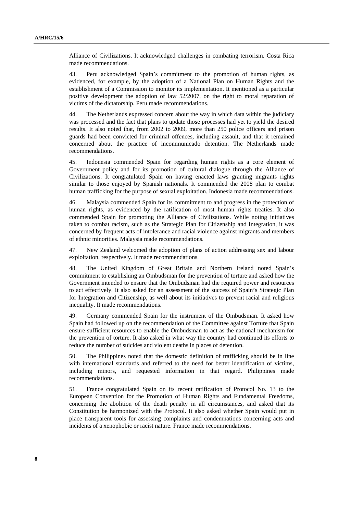Alliance of Civilizations. It acknowledged challenges in combating terrorism. Costa Rica made recommendations.

43. Peru acknowledged Spain's commitment to the promotion of human rights, as evidenced, for example, by the adoption of a National Plan on Human Rights and the establishment of a Commission to monitor its implementation. It mentioned as a particular positive development the adoption of law 52/2007, on the right to moral reparation of victims of the dictatorship. Peru made recommendations.

44. The Netherlands expressed concern about the way in which data within the judiciary was processed and the fact that plans to update those processes had yet to yield the desired results. It also noted that, from 2002 to 2009, more than 250 police officers and prison guards had been convicted for criminal offences, including assault, and that it remained concerned about the practice of incommunicado detention. The Netherlands made recommendations.

45. Indonesia commended Spain for regarding human rights as a core element of Government policy and for its promotion of cultural dialogue through the Alliance of Civilizations. It congratulated Spain on having enacted laws granting migrants rights similar to those enjoyed by Spanish nationals. It commended the 2008 plan to combat human trafficking for the purpose of sexual exploitation. Indonesia made recommendations.

46. Malaysia commended Spain for its commitment to and progress in the protection of human rights, as evidenced by the ratification of most human rights treaties. It also commended Spain for promoting the Alliance of Civilizations. While noting initiatives taken to combat racism, such as the Strategic Plan for Citizenship and Integration, it was concerned by frequent acts of intolerance and racial violence against migrants and members of ethnic minorities. Malaysia made recommendations.

47. New Zealand welcomed the adoption of plans of action addressing sex and labour exploitation, respectively. It made recommendations.

48. The United Kingdom of Great Britain and Northern Ireland noted Spain's commitment to establishing an Ombudsman for the prevention of torture and asked how the Government intended to ensure that the Ombudsman had the required power and resources to act effectively. It also asked for an assessment of the success of Spain's Strategic Plan for Integration and Citizenship, as well about its initiatives to prevent racial and religious inequality. It made recommendations.

49. Germany commended Spain for the instrument of the Ombudsman. It asked how Spain had followed up on the recommendation of the Committee against Torture that Spain ensure sufficient resources to enable the Ombudsman to act as the national mechanism for the prevention of torture. It also asked in what way the country had continued its efforts to reduce the number of suicides and violent deaths in places of detention.

50. The Philippines noted that the domestic definition of trafficking should be in line with international standards and referred to the need for better identification of victims, including minors, and requested information in that regard. Philippines made recommendations.

51. France congratulated Spain on its recent ratification of Protocol No. 13 to the European Convention for the Promotion of Human Rights and Fundamental Freedoms, concerning the abolition of the death penalty in all circumstances, and asked that its Constitution be harmonized with the Protocol. It also asked whether Spain would put in place transparent tools for assessing complaints and condemnations concerning acts and incidents of a xenophobic or racist nature. France made recommendations.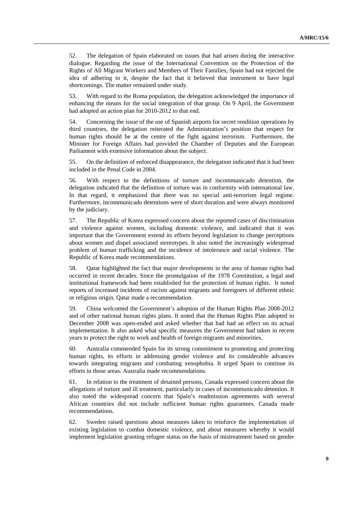52. The delegation of Spain elaborated on issues that had arisen during the interactive dialogue. Regarding the issue of the International Convention on the Protection of the Rights of All Migrant Workers and Members of Their Families, Spain had not rejected the idea of adhering to it, despite the fact that it believed that instrument to have legal shortcomings. The matter remained under study.

53. With regard to the Roma population, the delegation acknowledged the importance of enhancing the means for the social integration of that group. On 9 April, the Government had adopted an action plan for 2010-2012 to that end.

54. Concerning the issue of the use of Spanish airports for secret rendition operations by third countries, the delegation reiterated the Administration's position that respect for human rights should be at the centre of the fight against terrorism. Furthermore, the Minister for Foreign Affairs had provided the Chamber of Deputies and the European Parliament with extensive information about the subject.

55. On the definition of enforced disappearance, the delegation indicated that it had been included in the Penal Code in 2004.

56. With respect to the definitions of torture and incommunicado detention, the delegation indicated that the definition of torture was in conformity with international law. In that regard, it emphasized that there was no special anti-terrorism legal regime. Furthermore, incommunicado detentions were of short duration and were always monitored by the judiciary.

57. The Republic of Korea expressed concern about the reported cases of discrimination and violence against women, including domestic violence, and indicated that it was important that the Government extend its efforts beyond legislation to change perceptions about women and dispel associated stereotypes. It also noted the increasingly widespread problem of human trafficking and the incidence of intolerance and racial violence. The Republic of Korea made recommendations.

58. Qatar highlighted the fact that major developments in the area of human rights had occurred in recent decades. Since the promulgation of the 1978 Constitution, a legal and institutional framework had been established for the protection of human rights. It noted reports of increased incidents of racism against migrants and foreigners of different ethnic or religious origin. Qatar made a recommendation.

59. China welcomed the Government's adoption of the Human Rights Plan 2008-2012 and of other national human rights plans. It noted that the Human Rights Plan adopted in December 2008 was open-ended and asked whether that had had an effect on its actual implementation. It also asked what specific measures the Government had taken in recent years to protect the right to work and health of foreign migrants and minorities.

60. Australia commended Spain for its strong commitment to promoting and protecting human rights, its efforts in addressing gender violence and its considerable advances towards integrating migrants and combating xenophobia. It urged Spain to continue its efforts in those areas. Australia made recommendations.

61. In relation to the treatment of detained persons, Canada expressed concern about the allegations of torture and ill treatment, particularly in cases of incommunicado detention. It also noted the widespread concern that Spain's readmission agreements with several African countries did not include sufficient human rights guarantees. Canada made recommendations.

62. Sweden raised questions about measures taken to reinforce the implementation of existing legislation to combat domestic violence, and about measures whereby it would implement legislation granting refugee status on the basis of mistreatment based on gender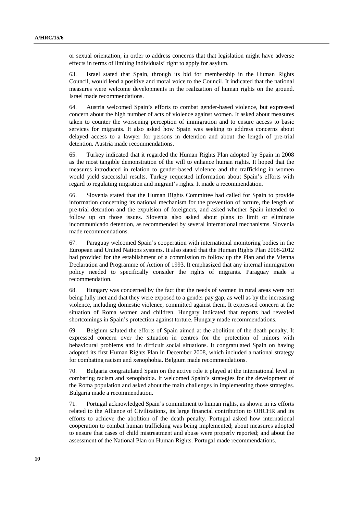or sexual orientation, in order to address concerns that that legislation might have adverse effects in terms of limiting individuals' right to apply for asylum.

63. Israel stated that Spain, through its bid for membership in the Human Rights Council, would lend a positive and moral voice to the Council. It indicated that the national measures were welcome developments in the realization of human rights on the ground. Israel made recommendations.

64. Austria welcomed Spain's efforts to combat gender-based violence, but expressed concern about the high number of acts of violence against women. It asked about measures taken to counter the worsening perception of immigration and to ensure access to basic services for migrants. It also asked how Spain was seeking to address concerns about delayed access to a lawyer for persons in detention and about the length of pre-trial detention. Austria made recommendations.

65. Turkey indicated that it regarded the Human Rights Plan adopted by Spain in 2008 as the most tangible demonstration of the will to enhance human rights. It hoped that the measures introduced in relation to gender-based violence and the trafficking in women would yield successful results. Turkey requested information about Spain's efforts with regard to regulating migration and migrant's rights. It made a recommendation.

66. Slovenia stated that the Human Rights Committee had called for Spain to provide information concerning its national mechanism for the prevention of torture, the length of pre-trial detention and the expulsion of foreigners, and asked whether Spain intended to follow up on those issues. Slovenia also asked about plans to limit or eliminate incommunicado detention, as recommended by several international mechanisms. Slovenia made recommendations.

67. Paraguay welcomed Spain's cooperation with international monitoring bodies in the European and United Nations systems. It also stated that the Human Rights Plan 2008-2012 had provided for the establishment of a commission to follow up the Plan and the Vienna Declaration and Programme of Action of 1993. It emphasized that any internal immigration policy needed to specifically consider the rights of migrants. Paraguay made a recommendation.

68. Hungary was concerned by the fact that the needs of women in rural areas were not being fully met and that they were exposed to a gender pay gap, as well as by the increasing violence, including domestic violence, committed against them. It expressed concern at the situation of Roma women and children. Hungary indicated that reports had revealed shortcomings in Spain's protection against torture. Hungary made recommendations.

69. Belgium saluted the efforts of Spain aimed at the abolition of the death penalty. It expressed concern over the situation in centres for the protection of minors with behavioural problems and in difficult social situations. It congratulated Spain on having adopted its first Human Rights Plan in December 2008, which included a national strategy for combating racism and xenophobia. Belgium made recommendations.

70. Bulgaria congratulated Spain on the active role it played at the international level in combating racism and xenophobia. It welcomed Spain's strategies for the development of the Roma population and asked about the main challenges in implementing those strategies. Bulgaria made a recommendation.

71. Portugal acknowledged Spain's commitment to human rights, as shown in its efforts related to the Alliance of Civilizations, its large financial contribution to OHCHR and its efforts to achieve the abolition of the death penalty. Portugal asked how international cooperation to combat human trafficking was being implemented; about measures adopted to ensure that cases of child mistreatment and abuse were properly reported; and about the assessment of the National Plan on Human Rights. Portugal made recommendations.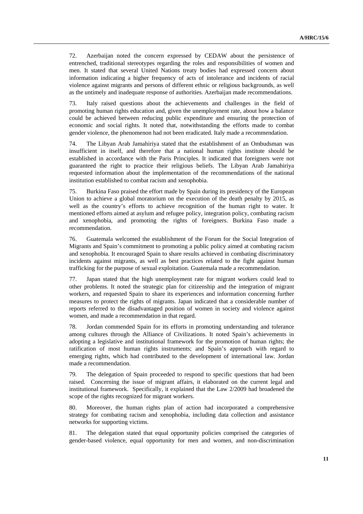72. Azerbaijan noted the concern expressed by CEDAW about the persistence of entrenched, traditional stereotypes regarding the roles and responsibilities of women and men. It stated that several United Nations treaty bodies had expressed concern about information indicating a higher frequency of acts of intolerance and incidents of racial violence against migrants and persons of different ethnic or religious backgrounds, as well as the untimely and inadequate response of authorities. Azerbaijan made recommendations.

73. Italy raised questions about the achievements and challenges in the field of promoting human rights education and, given the unemployment rate, about how a balance could be achieved between reducing public expenditure and ensuring the protection of economic and social rights. It noted that, notwithstanding the efforts made to combat gender violence, the phenomenon had not been eradicated. Italy made a recommendation.

74. The Libyan Arab Jamahiriya stated that the establishment of an Ombudsman was insufficient in itself, and therefore that a national human rights institute should be established in accordance with the Paris Principles. It indicated that foreigners were not guaranteed the right to practice their religious beliefs. The Libyan Arab Jamahiriya requested information about the implementation of the recommendations of the national institution established to combat racism and xenophobia.

75. Burkina Faso praised the effort made by Spain during its presidency of the European Union to achieve a global moratorium on the execution of the death penalty by 2015, as well as the country's efforts to achieve recognition of the human right to water. It mentioned efforts aimed at asylum and refugee policy, integration policy, combating racism and xenophobia, and promoting the rights of foreigners. Burkina Faso made a recommendation.

76. Guatemala welcomed the establishment of the Forum for the Social Integration of Migrants and Spain's commitment to promoting a public policy aimed at combating racism and xenophobia. It encouraged Spain to share results achieved in combating discriminatory incidents against migrants, as well as best practices related to the fight against human trafficking for the purpose of sexual exploitation. Guatemala made a recommendation.

77. Japan stated that the high unemployment rate for migrant workers could lead to other problems. It noted the strategic plan for citizenship and the integration of migrant workers, and requested Spain to share its experiences and information concerning further measures to protect the rights of migrants. Japan indicated that a considerable number of reports referred to the disadvantaged position of women in society and violence against women, and made a recommendation in that regard.

78. Jordan commended Spain for its efforts in promoting understanding and tolerance among cultures through the Alliance of Civilizations. It noted Spain's achievements in adopting a legislative and institutional framework for the promotion of human rights; the ratification of most human rights instruments; and Spain's approach with regard to emerging rights, which had contributed to the development of international law. Jordan made a recommendation.

79. The delegation of Spain proceeded to respond to specific questions that had been raised. Concerning the issue of migrant affairs, it elaborated on the current legal and institutional framework. Specifically, it explained that the Law 2/2009 had broadened the scope of the rights recognized for migrant workers.

80. Moreover, the human rights plan of action had incorporated a comprehensive strategy for combating racism and xenophobia, including data collection and assistance networks for supporting victims.

81. The delegation stated that equal opportunity policies comprised the categories of gender-based violence, equal opportunity for men and women, and non-discrimination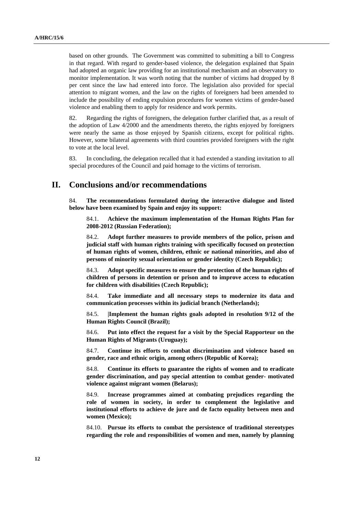based on other grounds. The Government was committed to submitting a bill to Congress in that regard. With regard to gender-based violence, the delegation explained that Spain had adopted an organic law providing for an institutional mechanism and an observatory to monitor implementation. It was worth noting that the number of victims had dropped by 8 per cent since the law had entered into force. The legislation also provided for special attention to migrant women, and the law on the rights of foreigners had been amended to include the possibility of ending expulsion procedures for women victims of gender-based violence and enabling them to apply for residence and work permits.

82. Regarding the rights of foreigners, the delegation further clarified that, as a result of the adoption of Law 4/2000 and the amendments thereto, the rights enjoyed by foreigners were nearly the same as those enjoyed by Spanish citizens, except for political rights. However, some bilateral agreements with third countries provided foreigners with the right to vote at the local level.

83. In concluding, the delegation recalled that it had extended a standing invitation to all special procedures of the Council and paid homage to the victims of terrorism.

# **II. Conclusions and/or recommendations**

84. **The recommendations formulated during the interactive dialogue and listed below have been examined by Spain and enjoy its support:** 

84.1. **Achieve the maximum implementation of the Human Rights Plan for 2008-2012 (Russian Federation);** 

84.2. **Adopt further measures to provide members of the police, prison and judicial staff with human rights training with specifically focused on protection of human rights of women, children, ethnic or national minorities, and also of persons of minority sexual orientation or gender identity (Czech Republic);** 

84.3. **Adopt specific measures to ensure the protection of the human rights of children of persons in detention or prison and to improve access to education for children with disabilities (Czech Republic);** 

84.4. **Take immediate and all necessary steps to modernize its data and communication processes within its judicial branch (Netherlands);** 

84.5. **|Implement the human rights goals adopted in resolution 9/12 of the Human Rights Council (Brazil);** 

84.6. **Put into effect the request for a visit by the Special Rapporteur on the Human Rights of Migrants (Uruguay);** 

84.7. **Continue its efforts to combat discrimination and violence based on gender, race and ethnic origin, among others (Republic of Korea);** 

84.8. **Continue its efforts to guarantee the rights of women and to eradicate gender discrimination, and pay special attention to combat gender- motivated violence against migrant women (Belarus);** 

84.9. **Increase programmes aimed at combating prejudices regarding the role of women in society, in order to complement the legislative and institutional efforts to achieve de jure and de facto equality between men and women (Mexico);** 

84.10. **Pursue its efforts to combat the persistence of traditional stereotypes regarding the role and responsibilities of women and men, namely by planning**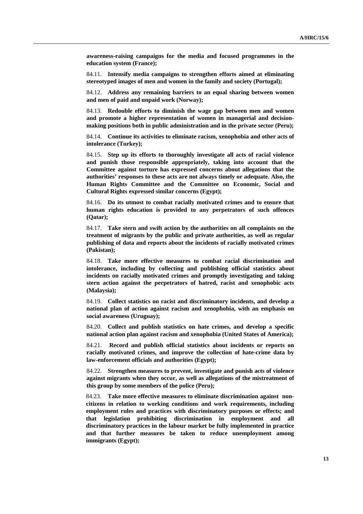**awareness-raising campaigns for the media and focused programmes in the education system (France);** 

84.11. **Intensify media campaigns to strengthen efforts aimed at eliminating stereotyped images of men and women in the family and society (Portugal);** 

84.12. **Address any remaining barriers to an equal sharing between women and men of paid and unpaid work (Norway);** 

84.13. **Redouble efforts to diminish the wage gap between men and women and promote a higher representation of women in managerial and decisionmaking positions both in public administration and in the private sector (Peru);** 

84.14. **Continue its activities to eliminate racism, xenophobia and other acts of intolerance (Turkey);** 

84.15. **Step up its efforts to thoroughly investigate all acts of racial violence and punish those responsible appropriately, taking into account that the Committee against torture has expressed concerns about allegations that the authorities' responses to these acts are not always timely or adequate. Also, the Human Rights Committee and the Committee on Economic, Social and Cultural Rights expressed similar concerns (Egypt);** 

84.16. **Do its utmost to combat racially motivated crimes and to ensure that human rights education is provided to any perpetrators of such offences (Qatar);** 

84.17. **Take stern and swift action by the authorities on all complaints on the treatment of migrants by the public and private authorities, as well as regular publishing of data and reports about the incidents of racially motivated crimes (Pakistan);** 

84.18. **Take more effective measures to combat racial discrimination and intolerance, including by collecting and publishing official statistics about incidents on racially motivated crimes and promptly investigating and taking stern action against the perpetrators of hatred, racist and xenophobic acts (Malaysia);** 

84.19. **Collect statistics on racist and discriminatory incidents, and develop a national plan of action against racism and xenophobia, with an emphasis on social awareness (Uruguay);** 

84.20. **Collect and publish statistics on hate crimes, and develop a specific national action plan against racism and xenophobia (United States of America);** 

84.21. **Record and publish official statistics about incidents or reports on racially motivated crimes, and improve the collection of hate-crime data by law-enforcement officials and authorities (Egypt);** 

84.22. **Strengthen measures to prevent, investigate and punish acts of violence against migrants when they occur, as well as allegations of the mistreatment of this group by some members of the police (Peru);** 

84.23. **Take more effective measures to eliminate discrimination against noncitizens in relation to working conditions and work requirements, including employment rules and practices with discriminatory purposes or effects; and that legislation prohibiting discrimination in employment and all discriminatory practices in the labour market be fully implemented in practice and that further measures be taken to reduce unemployment among immigrants (Egypt);**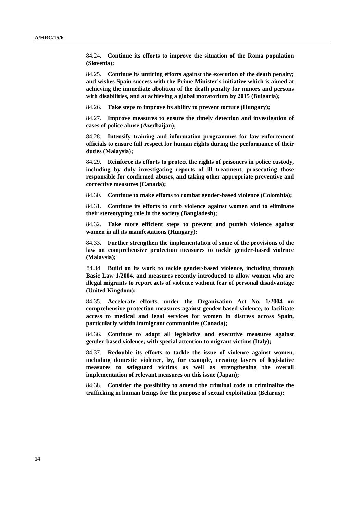84.24. **Continue its efforts to improve the situation of the Roma population (Slovenia);** 

84.25. **Continue its untiring efforts against the execution of the death penalty; and wishes Spain success with the Prime Minister's initiative which is aimed at achieving the immediate abolition of the death penalty for minors and persons with disabilities, and at achieving a global moratorium by 2015 (Bulgaria);** 

84.26. **Take steps to improve its ability to prevent torture (Hungary);** 

84.27. **Improve measures to ensure the timely detection and investigation of cases of police abuse (Azerbaijan);** 

84.28. **Intensify training and information programmes for law enforcement officials to ensure full respect for human rights during the performance of their duties (Malaysia);** 

84.29. **Reinforce its efforts to protect the rights of prisoners in police custody, including by duly investigating reports of ill treatment, prosecuting those responsible for confirmed abuses, and taking other appropriate preventive and corrective measures (Canada);** 

84.30. **Continue to make efforts to combat gender-based violence (Colombia);** 

84.31. **Continue its efforts to curb violence against women and to eliminate their stereotyping role in the society (Bangladesh);** 

84.32. **Take more efficient steps to prevent and punish violence against women in all its manifestations (Hungary);** 

84.33. **Further strengthen the implementation of some of the provisions of the law on comprehensive protection measures to tackle gender-based violence (Malaysia);** 

84.34. **Build on its work to tackle gender-based violence, including through Basic Law 1/2004, and measures recently introduced to allow women who are illegal migrants to report acts of violence without fear of personal disadvantage (United Kingdom);** 

84.35. **Accelerate efforts, under the Organization Act No. 1/2004 on comprehensive protection measures against gender-based violence, to facilitate access to medical and legal services for women in distress across Spain, particularly within immigrant communities (Canada);** 

84.36. **Continue to adopt all legislative and executive measures against gender-based violence, with special attention to migrant victims (Italy);** 

84.37. **Redouble its efforts to tackle the issue of violence against women, including domestic violence, by, for example, creating layers of legislative measures to safeguard victims as well as strengthening the overall implementation of relevant measures on this issue (Japan);** 

84.38. **Consider the possibility to amend the criminal code to criminalize the trafficking in human beings for the purpose of sexual exploitation (Belarus);**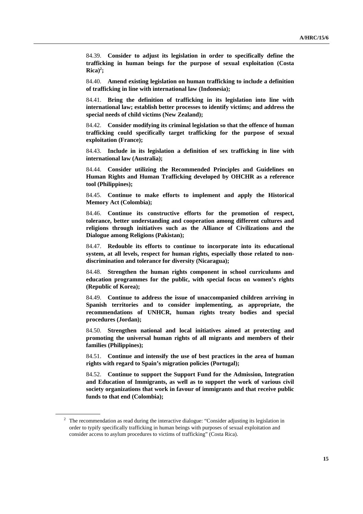84.39. **Consider to adjust its legislation in order to specifically define the trafficking in human beings for the purpose of sexual exploitation (Costa**   $Rica)^2$ ;

84.40. **Amend existing legislation on human trafficking to include a definition of trafficking in line with international law (Indonesia);** 

84.41. **Bring the definition of trafficking in its legislation into line with international law; establish better processes to identify victims; and address the special needs of child victims (New Zealand);** 

84.42. **Consider modifying its criminal legislation so that the offence of human trafficking could specifically target trafficking for the purpose of sexual exploitation (France);** 

84.43. **Include in its legislation a definition of sex trafficking in line with international law (Australia);** 

84.44. **Consider utilizing the Recommended Principles and Guidelines on Human Rights and Human Trafficking developed by OHCHR as a reference tool (Philippines);** 

84.45. **Continue to make efforts to implement and apply the Historical Memory Act (Colombia);** 

84.46. **Continue its constructive efforts for the promotion of respect, tolerance, better understanding and cooperation among different cultures and religions through initiatives such as the Alliance of Civilizations and the Dialogue among Religions (Pakistan);** 

84.47. **Redouble its efforts to continue to incorporate into its educational system, at all levels, respect for human rights, especially those related to nondiscrimination and tolerance for diversity (Nicaragua);** 

84.48. **Strengthen the human rights component in school curriculums and education programmes for the public, with special focus on women's rights (Republic of Korea);** 

84.49. **Continue to address the issue of unaccompanied children arriving in Spanish territories and to consider implementing, as appropriate, the recommendations of UNHCR, human rights treaty bodies and special procedures (Jordan);** 

84.50. **Strengthen national and local initiatives aimed at protecting and promoting the universal human rights of all migrants and members of their families (Philippines);** 

84.51. **Continue and intensify the use of best practices in the area of human rights with regard to Spain's migration policies (Portugal);** 

84.52. **Continue to support the Support Fund for the Admission, Integration and Education of Immigrants, as well as to support the work of various civil society organizations that work in favour of immigrants and that receive public funds to that end (Colombia);** 

 $2\degree$  The recommendation as read during the interactive dialogue: "Consider adjusting its legislation in order to typify specifically trafficking in human beings with purposes of sexual exploitation and consider access to asylum procedures to victims of trafficking" (Costa Rica).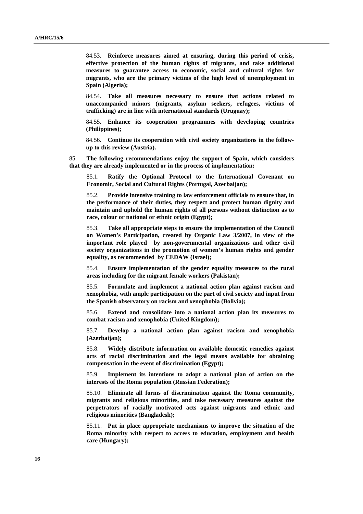84.53. **Reinforce measures aimed at ensuring, during this period of crisis, effective protection of the human rights of migrants, and take additional measures to guarantee access to economic, social and cultural rights for migrants, who are the primary victims of the high level of unemployment in Spain (Algeria);** 

84.54. **Take all measures necessary to ensure that actions related to unaccompanied minors (migrants, asylum seekers, refugees, victims of trafficking) are in line with international standards (Uruguay);** 

84.55. **Enhance its cooperation programmes with developing countries (Philippines);** 

84.56. **Continue its cooperation with civil society organizations in the followup to this review (Austria).** 

85. **The following recommendations enjoy the support of Spain, which considers that they are already implemented or in the process of implementation:** 

85.1. **Ratify the Optional Protocol to the International Covenant on Economic, Social and Cultural Rights (Portugal, Azerbaijan);** 

85.2. **Provide intensive training to law enforcement officials to ensure that, in the performance of their duties, they respect and protect human dignity and maintain and uphold the human rights of all persons without distinction as to race, colour or national or ethnic origin (Egypt);** 

85.3. **Take all appropriate steps to ensure the implementation of the Council on Women's Participation, created by Organic Law 3/2007, in view of the important role played by non-governmental organizations and other civil society organizations in the promotion of women's human rights and gender equality, as recommended by CEDAW (Israel);** 

85.4. **Ensure implementation of the gender equality measures to the rural areas including for the migrant female workers (Pakistan);** 

85.5. **Formulate and implement a national action plan against racism and xenophobia, with ample participation on the part of civil society and input from the Spanish observatory on racism and xenophobia (Bolivia);** 

85.6. **Extend and consolidate into a national action plan its measures to combat racism and xenophobia (United Kingdom);** 

85.7. **Develop a national action plan against racism and xenophobia (Azerbaijan);** 

85.8. **Widely distribute information on available domestic remedies against acts of racial discrimination and the legal means available for obtaining compensation in the event of discrimination (Egypt);** 

85.9. **Implement its intentions to adopt a national plan of action on the interests of the Roma population (Russian Federation);** 

85.10. **Eliminate all forms of discrimination against the Roma community, migrants and religious minorities, and take necessary measures against the perpetrators of racially motivated acts against migrants and ethnic and religious minorities (Bangladesh);** 

85.11. **Put in place appropriate mechanisms to improve the situation of the Roma minority with respect to access to education, employment and health care (Hungary);**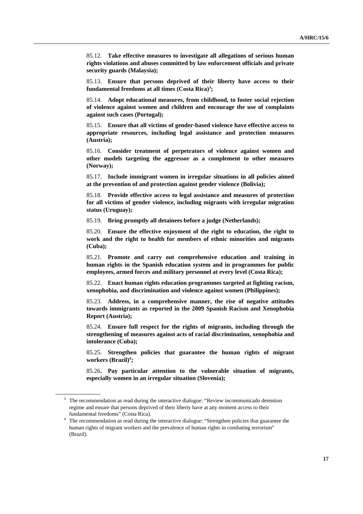85.12. **Take effective measures to investigate all allegations of serious human rights violations and abuses committed by law enforcement officials and private security guards (Malaysia);** 

85.13. **Ensure that persons deprived of their liberty have access to their fundamental freedoms at all times (Costa Rica)3 ;** 

85.14. **Adopt educational measures, from childhood, to foster social rejection of violence against women and children and encourage the use of complaints against such cases (Portugal);** 

85.15. **Ensure that all victims of gender-based violence have effective access to appropriate resources, including legal assistance and protection measures (Austria);** 

85.16. **Consider treatment of perpetrators of violence against women and other models targeting the aggressor as a complement to other measures (Norway);** 

85.17. **Include immigrant women in irregular situations in all policies aimed at the prevention of and protection against gender violence (Bolivia);** 

85.18. **Provide effective access to legal assistance and measures of protection for all victims of gender violence, including migrants with irregular migration status (Uruguay);** 

85.19. **Bring promptly all detainees before a judge (Netherlands);** 

85.20. **Ensure the effective enjoyment of the right to education, the right to work and the right to health for members of ethnic minorities and migrants (Cuba);** 

85.21. **Promote and carry out comprehensive education and training in human rights in the Spanish education system and in programmes for public employees, armed forces and military personnel at every level (Costa Rica);** 

85.22. **Enact human rights education programmes targeted at fighting racism, xenophobia, and discrimination and violence against women (Philippines);** 

85.23. **Address, in a comprehensive manner, the rise of negative attitudes towards immigrants as reported in the 2009 Spanish Racism and Xenophobia Report (Austria);** 

85.24. **Ensure full respect for the rights of migrants, including through the strengthening of measures against acts of racial discrimination, xenophobia and intolerance (Cuba);** 

85.25. **Strengthen policies that guarantee the human rights of migrant**  workers (Brazil)<sup>4</sup>;

85.26**. Pay particular attention to the vulnerable situation of migrants, especially women in an irregular situation (Slovenia);** 

 $3$  The recommendation as read during the interactive dialogue: "Review incommunicado detention regime and ensure that persons deprived of their liberty have at any moment access to their

fundamental freedoms" (Costa Rica). 4 The recommendation as read during the interactive dialogue: "Strengthen policies that guarantee the human rights of migrant workers and the prevalence of human rights in combating terrorism" (Brazil).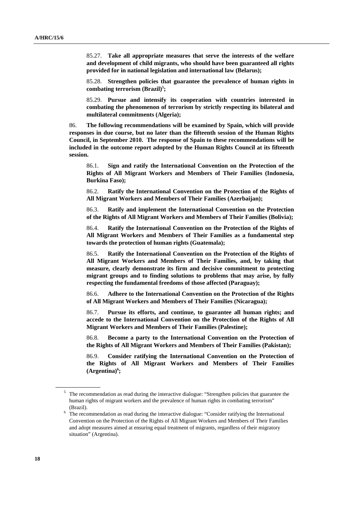85.27. **Take all appropriate measures that serve the interests of the welfare and development of child migrants, who should have been guaranteed all rights provided for in national legislation and international law (Belarus);** 

85.28. **Strengthen policies that guarantee the prevalence of human rights in**  combating terrorism (Brazil)<sup>5</sup>;

85.29. **Pursue and intensify its cooperation with countries interested in combating the phenomenon of terrorism by strictly respecting its bilateral and multilateral commitments (Algeria);** 

86. **The following recommendations will be examined by Spain, which will provide responses in due course, but no later than the fifteenth session of the Human Rights Council, in September 2010. The response of Spain to these recommendations will be included in the outcome report adopted by the Human Rights Council at its fifteenth session.** 

86.1. **Sign and ratify the International Convention on the Protection of the Rights of All Migrant Workers and Members of Their Families (Indonesia, Burkina Faso);** 

86.2. **Ratify the International Convention on the Protection of the Rights of All Migrant Workers and Members of Their Families (Azerbaijan);** 

86.3. **Ratify and implement the International Convention on the Protection of the Rights of All Migrant Workers and Members of Their Families (Bolivia);** 

86.4. **Ratify the International Convention on the Protection of the Rights of All Migrant Workers and Members of Their Families as a fundamental step towards the protection of human rights (Guatemala);** 

86.5. **Ratify the International Convention on the Protection of the Rights of All Migrant Workers and Members of Their Families, and, by taking that measure, clearly demonstrate its firm and decisive commitment to protecting migrant groups and to finding solutions to problems that may arise, by fully respecting the fundamental freedoms of those affected (Paraguay);** 

86.6. **Adhere to the International Convention on the Protection of the Rights of All Migrant Workers and Members of Their Families (Nicaragua);** 

86.7. **Pursue its efforts, and continue, to guarantee all human rights; and accede to the International Convention on the Protection of the Rights of All Migrant Workers and Members of Their Families (Palestine);** 

86.8. **Become a party to the International Convention on the Protection of the Rights of All Migrant Workers and Members of Their Families (Pakistan);** 

86.9. **Consider ratifying the International Convention on the Protection of the Rights of All Migrant Workers and Members of Their Families**  (Argentina)<sup>6</sup>;

<sup>&</sup>lt;sup>5</sup> The recommendation as read during the interactive dialogue: "Strengthen policies that guarantee the human rights of migrant workers and the prevalence of human rights in combating terrorism" (Brazil).<br><sup>6</sup> The recommendation as read during the interactive dialogue: "Consider ratifying the International

Convention on the Protection of the Rights of All Migrant Workers and Members of Their Families and adopt measures aimed at ensuring equal treatment of migrants, regardless of their migratory situation" (Argentina).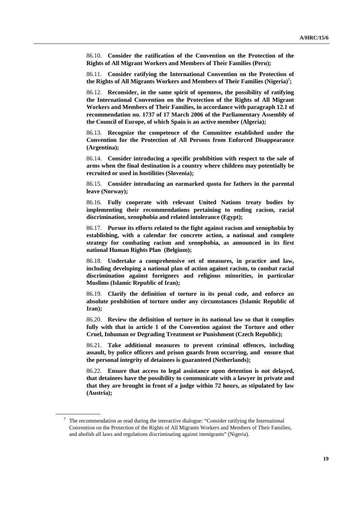86.10. **Consider the ratification of the Convention on the Protection of the Rights of All Migrant Workers and Members of Their Families (Peru);** 

86.11. **Consider ratifying the International Convention on the Protection of the Rights of All Migrants Workers and Members of Their Families (Nigeria)7 ;** 

86.12. **Reconsider, in the same spirit of openness, the possibility of ratifying the International Convention on the Protection of the Rights of All Migrant Workers and Members of Their Families, in accordance with paragraph 12.1 of recommendation no. 1737 of 17 March 2006 of the Parliamentary Assembly of the Council of Europe, of which Spain is an active member (Algeria);** 

86.13. **Recognize the competence of the Committee established under the Convention for the Protection of All Persons from Enforced Disappearance (Argentina);** 

86.14. **Consider introducing a specific prohibition with respect to the sale of arms when the final destination is a country where children may potentially be recruited or used in hostilities (Slovenia);** 

86.15. **Consider introducing an earmarked quota for fathers in the parental leave (Norway);** 

86.16. **Fully cooperate with relevant United Nations treaty bodies by implementing their recommendations pertaining to ending racism, racial discrimination, xenophobia and related intolerance (Egypt);** 

86.17. **Pursue its efforts related to the fight against racism and xenophobia by establishing, with a calendar for concrete action, a national and complete strategy for combating racism and xenophobia, as announced in its first national Human Rights Plan (Belgium);** 

86.18. **Undertake a comprehensive set of measures, in practice and law, including developing a national plan of action against racism, to combat racial discrimination against foreigners and religious minorities, in particular Muslims (Islamic Republic of Iran);** 

86.19. **Clarify the definition of torture in its penal code, and enforce an absolute prohibition of torture under any circumstances (Islamic Republic of Iran);** 

86.20. **Review the definition of torture in its national law so that it complies fully with that in article 1 of the Convention against the Torture and other Cruel, Inhuman or Degrading Treatment or Punishment (Czech Republic);** 

86.21. **Take additional measures to prevent criminal offences, including assault, by police officers and prison guards from occurring, and ensure that the personal integrity of detainees is guaranteed (Netherlands);** 

86.22. **Ensure that access to legal assistance upon detention is not delayed, that detainees have the possibility to communicate with a lawyer in private and that they are brought in front of a judge within 72 hours, as stipulated by law (Austria);** 

 $7$  The recommendation as read during the interactive dialogue: "Consider ratifying the International Convention on the Protection of the Rights of All Migrants Workers and Members of Their Families, and abolish all laws and regulations discriminating against immigrants" (Nigeria).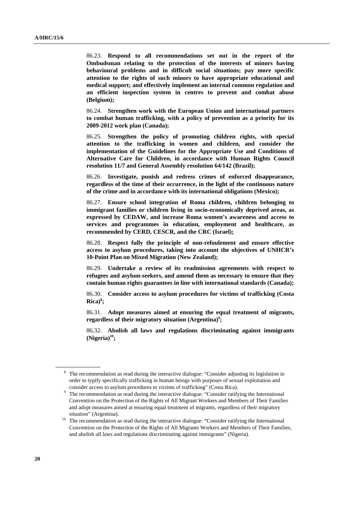86.23. **Respond to all recommendations set out in the report of the Ombudsman relating to the protection of the interests of minors having behavioural problems and in difficult social situations; pay more specific attention to the rights of such minors to have appropriate educational and medical support; and effectively implement an internal common regulation and an efficient inspection system in centres to prevent and combat abuse (Belgium);** 

86.24. **Strengthen work with the European Union and international partners to combat human trafficking, with a policy of prevention as a priority for its 2009-2012 work plan (Canada);** 

86.25. **Strengthen the policy of promoting children rights, with special attention to the trafficking in women and children, and consider the implementation of the Guidelines for the Appropriate Use and Conditions of Alternative Care for Children, in accordance with Human Rights Council resolution 11/7 and General Assembly resolution 64/142 (Brazil);** 

86.26. **Investigate, punish and redress crimes of enforced disappearance, regardless of the time of their occurrence, in the light of the continuous nature of the crime and in accordance with its international obligations (Mexico);** 

86.27. **Ensure school integration of Roma children, children belonging to immigrant families or children living in socio-economically deprived areas, as expressed by CEDAW, and increase Roma women's awareness and access to services and programmes in education, employment and healthcare, as recommended by CERD, CESCR, and the CRC (Israel);** 

86.28. **Respect fully the principle of non-refoulement and ensure effective access to asylum procedures, taking into account the objectives of UNHCR's 10-Point Plan on Mixed Migration (New Zealand);** 

86.29. **Undertake a review of its readmission agreements with respect to refugees and asylum-seekers, and amend them as necessary to ensure that they contain human rights guarantees in line with international standards (Canada);** 

86.30. **Consider access to asylum procedures for victims of trafficking (Costa Rica)8 ;** 

86.31. **Adopt measures aimed at ensuring the equal treatment of migrants,**  regardless of their migratory situation (Argentina)<sup>9</sup>;

86.32. **Abolish all laws and regulations discriminating against immigrants**   $(Nigeria)<sup>10</sup>$ ;

 $8\text{}$  The recommendation as read during the interactive dialogue: "Consider adjusting its legislation in order to typify specifically trafficking in human beings with purposes of sexual exploitation and consider access to asylum procedures to victims of trafficking" (Costa Rica).

The recommendation as read during the interactive dialogue: "Consider ratifying the International Convention on the Protection of the Rights of All Migrant Workers and Members of Their Families and adopt measures aimed at ensuring equal treatment of migrants, regardless of their migratory

situation" (Argentina).<br><sup>10</sup> The recommendation as read during the interactive dialogue: "Consider ratifying the International Convention on the Protection of the Rights of All Migrants Workers and Members of Their Families, and abolish all laws and regulations discriminating against immigrants" (Nigeria).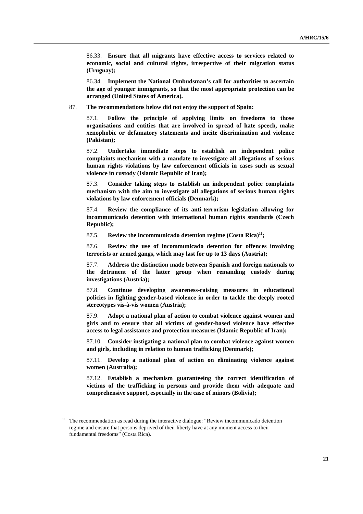86.33. **Ensure that all migrants have effective access to services related to economic, social and cultural rights, irrespective of their migration status (Uruguay);** 

86.34. **Implement the National Ombudsman's call for authorities to ascertain the age of younger immigrants, so that the most appropriate protection can be arranged (United States of America).** 

87. **The recommendations below did not enjoy the support of Spain:** 

87.1. **Follow the principle of applying limits on freedoms to those organisations and entities that are involved in spread of hate speech, make xenophobic or defamatory statements and incite discrimination and violence (Pakistan);** 

87.2. **Undertake immediate steps to establish an independent police complaints mechanism with a mandate to investigate all allegations of serious human rights violations by law enforcement officials in cases such as sexual violence in custody (Islamic Republic of Iran);** 

87.3. **Consider taking steps to establish an independent police complaints mechanism with the aim to investigate all allegations of serious human rights violations by law enforcement officials (Denmark);** 

87.4. **Review the compliance of its anti-terrorism legislation allowing for incommunicado detention with international human rights standards (Czech Republic);** 

87.5. **Review the incommunicado detention regime (Costa Rica)<sup>11</sup>;** 

87.6. **Review the use of incommunicado detention for offences involving terrorists or armed gangs, which may last for up to 13 days (Austria);** 

87.7. **Address the distinction made between Spanish and foreign nationals to the detriment of the latter group when remanding custody during investigations (Austria);** 

87.8. **Continue developing awareness-raising measures in educational policies in fighting gender-based violence in order to tackle the deeply rooted stereotypes vis-à-vis women (Austria);** 

87.9. **Adopt a national plan of action to combat violence against women and girls and to ensure that all victims of gender-based violence have effective access to legal assistance and protection measures (Islamic Republic of Iran);** 

87.10. **Consider instigating a national plan to combat violence against women and girls, including in relation to human trafficking (Denmark);** 

87.11. **Develop a national plan of action on eliminating violence against women (Australia);** 

87.12. **Establish a mechanism guaranteeing the correct identification of victims of the trafficking in persons and provide them with adequate and comprehensive support, especially in the case of minors (Bolivia);** 

 $11$  The recommendation as read during the interactive dialogue: "Review incommunicado detention regime and ensure that persons deprived of their liberty have at any moment access to their fundamental freedoms" (Costa Rica).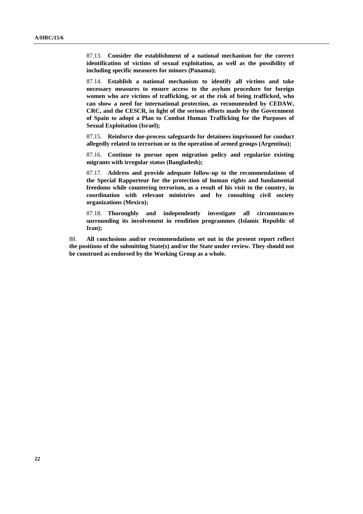87.13. **Consider the establishment of a national mechanism for the correct identification of victims of sexual exploitation, as well as the possibility of including specific measures for minors (Panama);** 

87.14. **Establish a national mechanism to identify all victims and take necessary measures to ensure access to the asylum procedure for foreign women who are victims of trafficking, or at the risk of being trafficked, who can show a need for international protection, as recommended by CEDAW, CRC, and the CESCR, in light of the serious efforts made by the Government of Spain to adopt a Plan to Combat Human Trafficking for the Purposes of Sexual Exploitation (Israel);** 

87.15. **Reinforce due-process safeguards for detainees imprisoned for conduct allegedly related to terrorism or to the operation of armed groups (Argentina);** 

87.16. **Continue to pursue open migration policy and regularize existing migrants with irregular status (Bangladesh);** 

87.17. **Address and provide adequate follow-up to the recommendations of the Special Rapporteur for the protection of human rights and fundamental freedoms while countering terrorism, as a result of his visit to the country, in coordination with relevant ministries and by consulting civil society organizations (Mexico);** 

87.18. **Thoroughly and independently investigate all circumstances surrounding its involvement in rendition programmes (Islamic Republic of Iran);** 

88. **All conclusions and/or recommendations set out in the present report reflect the positions of the submitting State(s) and/or the State under review. They should not be construed as endorsed by the Working Group as a whole.**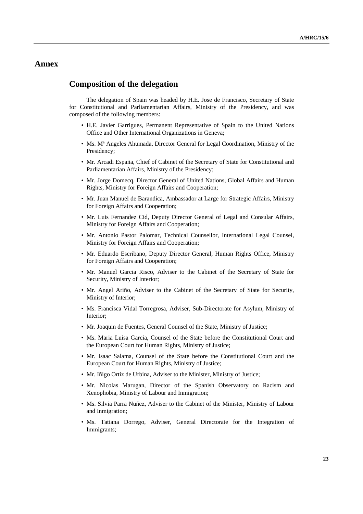## **Annex**

### **Composition of the delegation**

The delegation of Spain was headed by H.E. Jose de Francisco, Secretary of State for Constitutional and Parliamentarian Affairs, Ministry of the Presidency, and was composed of the following members:

- H.E. Javier Garrigues, Permanent Representative of Spain to the United Nations Office and Other International Organizations in Geneva;
- Ms. Mª Angeles Ahumada, Director General for Legal Coordination, Ministry of the Presidency;
- Mr. Arcadi España, Chief of Cabinet of the Secretary of State for Constitutional and Parliamentarian Affairs, Ministry of the Presidency;
- Mr. Jorge Domecq, Director General of United Nations, Global Affairs and Human Rights, Ministry for Foreign Affairs and Cooperation;
- Mr. Juan Manuel de Barandica, Ambassador at Large for Strategic Affairs, Ministry for Foreign Affairs and Cooperation;
- Mr. Luis Fernandez Cid, Deputy Director General of Legal and Consular Affairs, Ministry for Foreign Affairs and Cooperation;
- Mr. Antonio Pastor Palomar, Technical Counsellor, International Legal Counsel, Ministry for Foreign Affairs and Cooperation;
- Mr. Eduardo Escribano, Deputy Director General, Human Rights Office, Ministry for Foreign Affairs and Cooperation;
- Mr. Manuel Garcia Risco, Adviser to the Cabinet of the Secretary of State for Security, Ministry of Interior;
- Mr. Angel Ariño, Adviser to the Cabinet of the Secretary of State for Security, Ministry of Interior;
- Ms. Francisca Vidal Torregrosa, Adviser, Sub-Directorate for Asylum, Ministry of Interior;
- Mr. Joaquin de Fuentes, General Counsel of the State, Ministry of Justice;
- Ms. Maria Luisa Garcia, Counsel of the State before the Constitutional Court and the European Court for Human Rights, Ministry of Justice;
- Mr. Isaac Salama, Counsel of the State before the Constitutional Court and the European Court for Human Rights, Ministry of Justice;
- Mr. Iñigo Ortiz de Urbina, Adviser to the Minister, Ministry of Justice;
- Mr. Nicolas Marugan, Director of the Spanish Observatory on Racism and Xenophobia, Ministry of Labour and Inmigration;
- Ms. Silvia Parra Nuñez, Adviser to the Cabinet of the Minister, Ministry of Labour and Inmigration;
- Ms. Tatiana Dorrego, Adviser, General Directorate for the Integration of Immigrants;